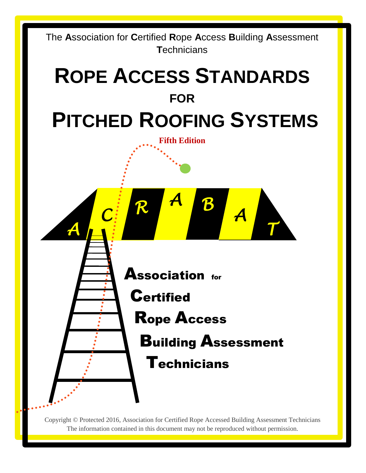

Copyright © Protected 2016, Association for Certified Rope Accessed Building Assessment Technicians The information contained in this document may not be reproduced without permission.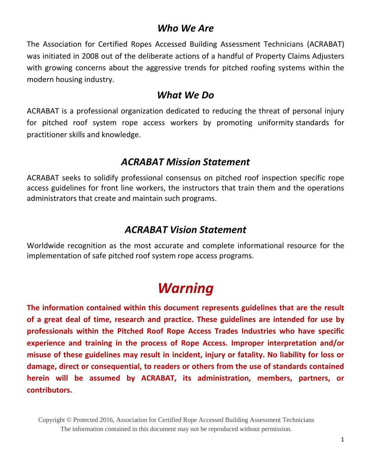### *Who We Are*

The Association for Certified Ropes Accessed Building Assessment Technicians (ACRABAT) was initiated in 2008 out of the deliberate actions of a handful of Property Claims Adjusters with growing concerns about the aggressive trends for pitched roofing systems within the modern housing industry.

### *What We Do*

ACRABAT is a professional organization dedicated to reducing the threat of personal injury for pitched roof system rope access workers by promoting uniformity standards for practitioner skills and knowledge.

### *ACRABAT Mission Statement*

ACRABAT seeks to solidify professional consensus on pitched roof inspection specific rope access guidelines for front line workers, the instructors that train them and the operations administrators that create and maintain such programs.

### *ACRABAT Vision Statement*

Worldwide recognition as the most accurate and complete informational resource for the implementation of safe pitched roof system rope access programs.

# *Warning*

**The information contained within this document represents guidelines that are the result of a great deal of time, research and practice. These guidelines are intended for use by professionals within the Pitched Roof Rope Access Trades Industries who have specific experience and training in the process of Rope Access. Improper interpretation and/or misuse of these guidelines may result in incident, injury or fatality. No liability for loss or damage, direct or consequential, to readers or others from the use of standards contained herein will be assumed by ACRABAT, its administration, members, partners, or contributors.**

Copyright © Protected 2016, Association for Certified Rope Accessed Building Assessment Technicians The information contained in this document may not be reproduced without permission.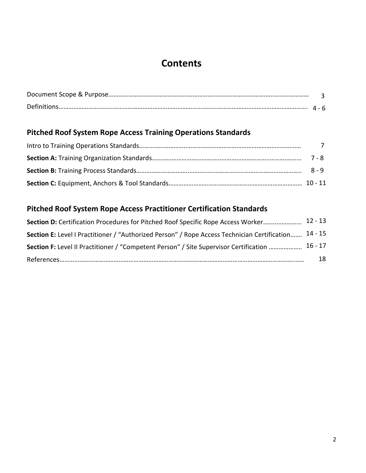# **Contents**

### **Pitched Roof System Rope Access Training Operations Standards**

### **Pitched Roof System Rope Access Practitioner Certification Standards**

| Section D: Certification Procedures for Pitched Roof Specific Rope Access Worker 12 - 13             |    |
|------------------------------------------------------------------------------------------------------|----|
| Section E: Level I Practitioner / "Authorized Person" / Rope Access Technician Certification 14 - 15 |    |
| Section F: Level II Practitioner / "Competent Person" / Site Supervisor Certification  16 - 17       |    |
|                                                                                                      | 18 |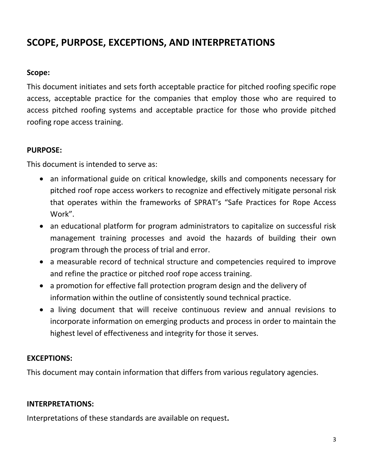# **SCOPE, PURPOSE, EXCEPTIONS, AND INTERPRETATIONS**

### **Scope:**

This document initiates and sets forth acceptable practice for pitched roofing specific rope access, acceptable practice for the companies that employ those who are required to access pitched roofing systems and acceptable practice for those who provide pitched roofing rope access training.

### **PURPOSE:**

This document is intended to serve as:

- an informational guide on critical knowledge, skills and components necessary for pitched roof rope access workers to recognize and effectively mitigate personal risk that operates within the frameworks of SPRAT's "Safe Practices for Rope Access Work".
- an educational platform for program administrators to capitalize on successful risk management training processes and avoid the hazards of building their own program through the process of trial and error.
- a measurable record of technical structure and competencies required to improve and refine the practice or pitched roof rope access training.
- a promotion for effective fall protection program design and the delivery of information within the outline of consistently sound technical practice.
- a living document that will receive continuous review and annual revisions to incorporate information on emerging products and process in order to maintain the highest level of effectiveness and integrity for those it serves.

### **EXCEPTIONS:**

This document may contain information that differs from various regulatory agencies.

### **INTERPRETATIONS:**

Interpretations of these standards are available on request**.**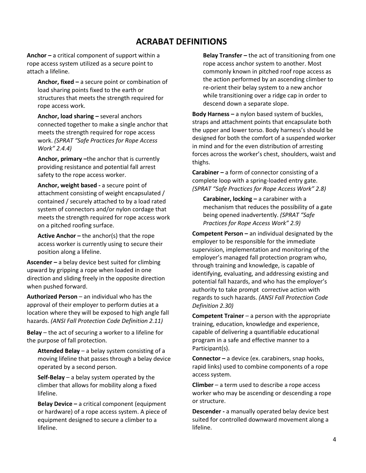### **ACRABAT DEFINITIONS**

**Anchor –** a critical component of support within a rope access system utilized as a secure point to attach a lifeline.

**Anchor, fixed –** a secure point or combination of load sharing points fixed to the earth or structures that meets the strength required for rope access work.

**Anchor, load sharing –** several anchors connected together to make a single anchor that meets the strength required for rope access work. *(SPRAT "Safe Practices for Rope Access Work" 2.4.4)*

**Anchor, primary –**the anchor that is currently providing resistance and potential fall arrest safety to the rope access worker.

**Anchor, weight based -** a secure point of attachment consisting of weight encapsulated / contained / securely attached to by a load rated system of connectors and/or nylon cordage that meets the strength required for rope access work on a pitched roofing surface.

**Active Anchor –** the anchor(s) that the rope access worker is currently using to secure their position along a lifeline.

**Ascender –** a belay device best suited for climbing upward by gripping a rope when loaded in one direction and sliding freely in the opposite direction when pushed forward.

**Authorized Person** – an individual who has the approval of their employer to perform duties at a location where they will be exposed to high angle fall hazards. *(ANSI Fall Protection Code Definition 2.11)*

**Belay** – the act of securing a worker to a lifeline for the purpose of fall protection.

**Attended Belay** – a belay system consisting of a moving lifeline that passes through a belay device operated by a second person.

**Self-Belay** – a belay system operated by the climber that allows for mobility along a fixed lifeline.

**Belay Device –** a critical component (equipment or hardware) of a rope access system. A piece of equipment designed to secure a climber to a lifeline.

**Belay Transfer –** the act of transitioning from one rope access anchor system to another. Most commonly known in pitched roof rope access as the action performed by an ascending climber to re-orient their belay system to a new anchor while transitioning over a ridge cap in order to descend down a separate slope.

**Body Harness –** a nylon based system of buckles, straps and attachment points that encapsulate both the upper and lower torso. Body harness's should be designed for both the comfort of a suspended worker in mind and for the even distribution of arresting forces across the worker's chest, shoulders, waist and thighs.

**Carabiner –** a form of connector consisting of a complete loop with a spring-loaded entry gate. *(SPRAT "Safe Practices for Rope Access Work" 2.8)*

**Carabiner, locking –** a carabiner with a mechanism that reduces the possibility of a gate being opened inadvertently. *(SPRAT "Safe Practices for Rope Access Work" 2.9)*

**Competent Person –** an individual designated by the employer to be responsible for the immediate supervision, implementation and monitoring of the employer's managed fall protection program who, through training and knowledge, is capable of identifying, evaluating, and addressing existing and potential fall hazards, and who has the employer's authority to take prompt corrective action with regards to such hazards. *(ANSI Fall Protection Code Definition 2.30)*

**Competent Trainer** – a person with the appropriate training, education, knowledge and experience, capable of delivering a quantifiable educational program in a safe and effective manner to a Participant(s).

**Connector –** a device (ex. carabiners, snap hooks, rapid links) used to combine components of a rope access system.

**Climber** – a term used to describe a rope access worker who may be ascending or descending a rope or structure.

**Descender -** a manually operated belay device best suited for controlled downward movement along a lifeline.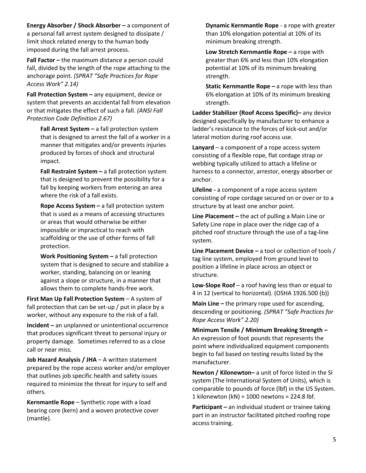**Energy Absorber / Shock Absorber –** a component of a personal fall arrest system designed to dissipate / limit shock related energy to the human body imposed during the fall arrest process.

**Fall Factor –** the maximum distance a person could fall, divided by the length of the rope attaching to the anchorage point. *(SPRAT "Safe Practices for Rope Access Work" 2.14)*

**Fall Protection System –** any equipment, device or system that prevents an accidental fall from elevation or that mitigates the effect of such a fall. *(ANSI Fall Protection Code Definition 2.67)*

**Fall Arrest System –** a fall protection system that is designed to arrest the fall of a worker in a manner that mitigates and/or prevents injuries produced by forces of shock and structural impact.

**Fall Restraint System –** a fall protection system that is designed to prevent the possibility for a fall by keeping workers from entering an area where the risk of a fall exists.

**Rope Access System –** a fall protection system that is used as a means of accessing structures or areas that would otherwise be either impossible or impractical to reach with scaffolding or the use of other forms of fall protection.

**Work Positioning System –** a fall protection system that is designed to secure and stabilize a worker, standing, balancing on or leaning against a slope or structure, in a manner that allows them to complete hands-free work.

**First Man Up Fall Protection System** – A system of fall protection that can be set-up / put in place by a worker, without any exposure to the risk of a fall.

**Incident –** an unplanned or unintentional occurrence that produces significant threat to personal injury or property damage. Sometimes referred to as a close call or near miss.

**Job Hazard Analysis / JHA** – A written statement prepared by the rope access worker and/or employer that outlines job specific health and safety issues required to minimize the threat for injury to self and others.

**Kernmantle Rope** – Synthetic rope with a load bearing core (kern) and a woven protective cover (mantle).

**Dynamic Kernmantle Rope** - a rope with greater than 10% elongation potential at 10% of its minimum breaking strength.

**Low Stretch Kernmantle Rope –** a rope with greater than 6% and less than 10% elongation potential at 10% of its minimum breaking strength.

**Static Kernmantle Rope – a rope with less than** 6% elongation at 10% of its minimum breaking strength.

**Ladder Stabilizer (Roof Access Specific)–** any device designed specifically by manufacturer to enhance a ladder's resistance to the forces of kick-out and/or lateral motion during roof access use.

**Lanyard** – a component of a rope access system consisting of a flexible rope, flat cordage strap or webbing typically utilized to attach a lifeline or harness to a connector, arrestor, energy absorber or anchor.

**Lifeline -** a component of a rope access system consisting of rope cordage secured on or over or to a structure by at least one anchor point.

**Line Placement –** the act of pulling a Main Line or Safety Line rope in place over the ridge cap of a pitched roof structure through the use of a tag-line system.

**Line Placement Device –** a tool or collection of tools / tag line system, employed from ground level to position a lifeline in place across an object or structure.

**Low-Slope Roof** – a roof having less than or equal to 4 in 12 (vertical to horizontal). (OSHA 1926.500 (b))

**Main Line –** the primary rope used for ascending, descending or positioning. *(SPRAT "Safe Practices for Rope Access Work" 2.20)*

**Minimum Tensile / Minimum Breaking Strength –** An expression of foot pounds that represents the point where individualized equipment components begin to fail based on testing results listed by the manufacturer.

**Newton / Kilonewton–** a unit of force listed in the SI system (The International System of Units), which is comparable to pounds of force (lbf) in the US System. 1 kilonewton (kN) = 1000 newtons = 224.8 lbf.

**Participant –** an individual student or trainee taking part in an instructor facilitated pitched roofing rope access training.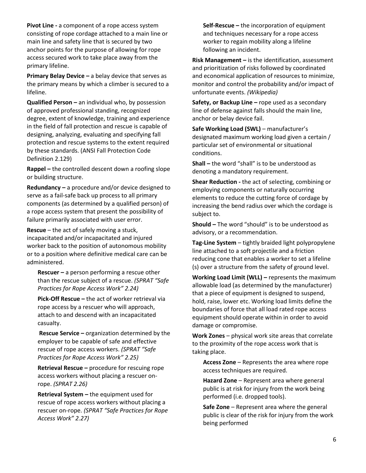**Pivot Line -** a component of a rope access system consisting of rope cordage attached to a main line or main line and safety line that is secured by two anchor points for the purpose of allowing for rope access secured work to take place away from the primary lifeline.

**Primary Belay Device –** a belay device that serves as the primary means by which a climber is secured to a lifeline.

**Qualified Person –** an individual who, by possession of approved professional standing, recognized degree, extent of knowledge, training and experience in the field of fall protection and rescue is capable of designing, analyzing, evaluating and specifying fall protection and rescue systems to the extent required by these standards. (ANSI Fall Protection Code Definition 2.129)

**Rappel –** the controlled descent down a roofing slope or building structure.

**Redundancy –** a procedure and/or device designed to serve as a fail-safe back up process to all primary components (as determined by a qualified person) of a rope access system that present the possibility of failure primarily associated with user error.

**Rescue** – the act of safely moving a stuck, incapacitated and/or incapacitated and injured worker back to the position of autonomous mobility or to a position where definitive medical care can be administered.

**Rescuer –** a person performing a rescue other than the rescue subject of a rescue. *(SPRAT "Safe Practices for Rope Access Work" 2.24)*

**Pick-Off Rescue –** the act of worker retrieval via rope access by a rescuer who will approach, attach to and descend with an incapacitated casualty.

**Rescue Service –** organization determined by the employer to be capable of safe and effective rescue of rope access workers. *(SPRAT "Safe Practices for Rope Access Work" 2.25)*

**Retrieval Rescue –** procedure for rescuing rope access workers without placing a rescuer onrope. *(SPRAT 2.26)*

**Retrieval System –** the equipment used for rescue of rope access workers without placing a rescuer on-rope. *(SPRAT "Safe Practices for Rope Access Work" 2.27)*

**Self-Rescue –** the incorporation of equipment and techniques necessary for a rope access worker to regain mobility along a lifeline following an incident.

**Risk Management –** is the identification, assessment and prioritization of risks followed by coordinated and economical application of resources to minimize, monitor and control the probability and/or impact of unfortunate events. *(Wikipedia)*

**Safety, or Backup Line –** rope used as a secondary line of defense against falls should the main line, anchor or belay device fail.

**Safe Working Load (SWL)** – manufacturer's designated maximum working load given a certain / particular set of environmental or situational conditions.

**Shall –** the word "shall" is to be understood as denoting a mandatory requirement.

**Shear Reduction -** the act of selecting, combining or employing components or naturally occurring elements to reduce the cutting force of cordage by increasing the bend radius over which the cordage is subject to.

**Should –** The word "should" is to be understood as advisory, or a recommendation.

**Tag-Line System** – tightly braided light polypropylene line attached to a soft projectile and a friction reducing cone that enables a worker to set a lifeline (s) over a structure from the safety of ground level.

**Working Load Limit (WLL) –** represents the maximum allowable load (as determined by the manufacturer) that a piece of equipment is designed to suspend, hold, raise, lower etc. Working load limits define the boundaries of force that all load rated rope access equipment should operate within in order to avoid damage or compromise.

**Work Zones** – physical work site areas that correlate to the proximity of the rope access work that is taking place.

**Access Zone** – Represents the area where rope access techniques are required.

**Hazard Zone** – Represent area where general public is at risk for injury from the work being performed (i.e. dropped tools).

**Safe Zone** – Represent area where the general public is clear of the risk for injury from the work being performed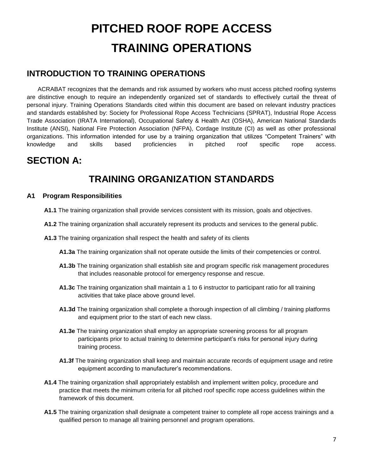# **PITCHED ROOF ROPE ACCESS TRAINING OPERATIONS**

### **INTRODUCTION TO TRAINING OPERATIONS**

ACRABAT recognizes that the demands and risk assumed by workers who must access pitched roofing systems are distinctive enough to require an independently organized set of standards to effectively curtail the threat of personal injury. Training Operations Standards cited within this document are based on relevant industry practices and standards established by: Society for Professional Rope Access Technicians (SPRAT), Industrial Rope Access Trade Association (IRATA International), Occupational Safety & Health Act (OSHA), American National Standards Institute (ANSI), National Fire Protection Association (NFPA), Cordage Institute (CI) as well as other professional organizations. This information intended for use by a training organization that utilizes "Competent Trainers" with knowledge and skills based proficiencies in pitched roof specific rope access.

### **SECTION A:**

# **TRAINING ORGANIZATION STANDARDS**

#### **A1 Program Responsibilities**

- **A1.1** The training organization shall provide services consistent with its mission, goals and objectives.
- **A1.2** The training organization shall accurately represent its products and services to the general public.
- **A1.3** The training organization shall respect the health and safety of its clients
	- **A1.3a** The training organization shall not operate outside the limits of their competencies or control.
	- **A1.3b** The training organization shall establish site and program specific risk management procedures that includes reasonable protocol for emergency response and rescue.
	- **A1.3c** The training organization shall maintain a 1 to 6 instructor to participant ratio for all training activities that take place above ground level.
	- **A1.3d** The training organization shall complete a thorough inspection of all climbing / training platforms and equipment prior to the start of each new class.
	- **A1.3e** The training organization shall employ an appropriate screening process for all program participants prior to actual training to determine participant's risks for personal injury during training process.
	- **A1.3f** The training organization shall keep and maintain accurate records of equipment usage and retire equipment according to manufacturer's recommendations.
- **A1.4** The training organization shall appropriately establish and implement written policy, procedure and practice that meets the minimum criteria for all pitched roof specific rope access guidelines within the framework of this document.
- **A1.5** The training organization shall designate a competent trainer to complete all rope access trainings and a qualified person to manage all training personnel and program operations.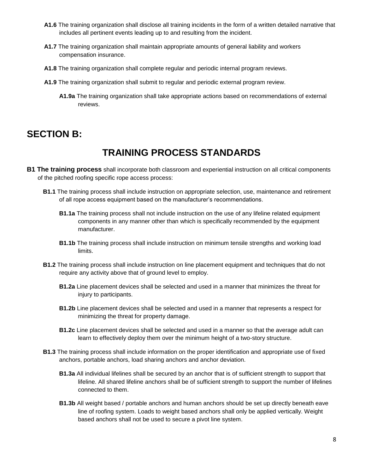- **A1.6** The training organization shall disclose all training incidents in the form of a written detailed narrative that includes all pertinent events leading up to and resulting from the incident.
- **A1.7** The training organization shall maintain appropriate amounts of general liability and workers compensation insurance.
- **A1.8** The training organization shall complete regular and periodic internal program reviews.
- **A1.9** The training organization shall submit to regular and periodic external program review.
	- **A1.9a** The training organization shall take appropriate actions based on recommendations of external reviews.

# **SECTION B:**

### **TRAINING PROCESS STANDARDS**

- **B1 The training process** shall incorporate both classroom and experiential instruction on all critical components of the pitched roofing specific rope access process:
	- **B1.1** The training process shall include instruction on appropriate selection, use, maintenance and retirement of all rope access equipment based on the manufacturer's recommendations.
		- **B1.1a** The training process shall not include instruction on the use of any lifeline related equipment components in any manner other than which is specifically recommended by the equipment manufacturer.
		- **B1.1b** The training process shall include instruction on minimum tensile strengths and working load limits.
	- **B1.2** The training process shall include instruction on line placement equipment and techniques that do not require any activity above that of ground level to employ.
		- **B1.2a** Line placement devices shall be selected and used in a manner that minimizes the threat for injury to participants.
		- **B1.2b** Line placement devices shall be selected and used in a manner that represents a respect for minimizing the threat for property damage.
		- **B1.2c** Line placement devices shall be selected and used in a manner so that the average adult can learn to effectively deploy them over the minimum height of a two-story structure.
	- **B1.3** The training process shall include information on the proper identification and appropriate use of fixed anchors, portable anchors, load sharing anchors and anchor deviation.
		- **B1.3a** All individual lifelines shall be secured by an anchor that is of sufficient strength to support that lifeline. All shared lifeline anchors shall be of sufficient strength to support the number of lifelines connected to them.
		- **B1.3b** All weight based / portable anchors and human anchors should be set up directly beneath eave line of roofing system. Loads to weight based anchors shall only be applied vertically. Weight based anchors shall not be used to secure a pivot line system.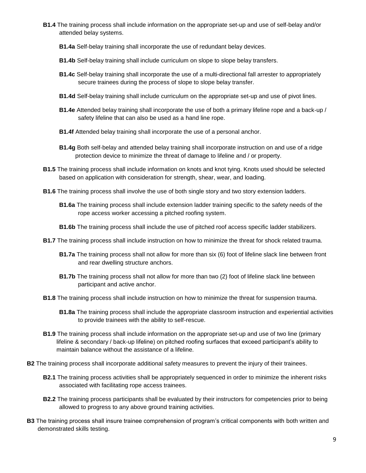- **B1.4** The training process shall include information on the appropriate set-up and use of self-belay and/or attended belay systems.
	- **B1.4a** Self-belay training shall incorporate the use of redundant belay devices.
	- **B1.4b** Self-belay training shall include curriculum on slope to slope belay transfers.
	- **B1.4c** Self-belay training shall incorporate the use of a multi-directional fall arrester to appropriately secure trainees during the process of slope to slope belay transfer.
	- **B1.4d** Self-belay training shall include curriculum on the appropriate set-up and use of pivot lines.
	- **B1.4e** Attended belay training shall incorporate the use of both a primary lifeline rope and a back-up / safety lifeline that can also be used as a hand line rope.
	- **B1.4f** Attended belay training shall incorporate the use of a personal anchor.
	- **B1.4g** Both self-belay and attended belay training shall incorporate instruction on and use of a ridge protection device to minimize the threat of damage to lifeline and / or property.
- **B1.5** The training process shall include information on knots and knot tying. Knots used should be selected based on application with consideration for strength, shear, wear, and loading.
- **B1.6** The training process shall involve the use of both single story and two story extension ladders.
	- **B1.6a** The training process shall include extension ladder training specific to the safety needs of the rope access worker accessing a pitched roofing system.
	- **B1.6b** The training process shall include the use of pitched roof access specific ladder stabilizers.
- **B1.7** The training process shall include instruction on how to minimize the threat for shock related trauma.
	- **B1.7a** The training process shall not allow for more than six (6) foot of lifeline slack line between front and rear dwelling structure anchors.
	- **B1.7b** The training process shall not allow for more than two (2) foot of lifeline slack line between participant and active anchor.
- **B1.8** The training process shall include instruction on how to minimize the threat for suspension trauma.
	- **B1.8a** The training process shall include the appropriate classroom instruction and experiential activities to provide trainees with the ability to self-rescue.
- **B1.9** The training process shall include information on the appropriate set-up and use of two line (primary lifeline & secondary / back-up lifeline) on pitched roofing surfaces that exceed participant's ability to maintain balance without the assistance of a lifeline.
- **B2** The training process shall incorporate additional safety measures to prevent the injury of their trainees.
	- **B2.1** The training process activities shall be appropriately sequenced in order to minimize the inherent risks associated with facilitating rope access trainees.
	- **B2.2** The training process participants shall be evaluated by their instructors for competencies prior to being allowed to progress to any above ground training activities.
- **B3** The training process shall insure trainee comprehension of program's critical components with both written and demonstrated skills testing.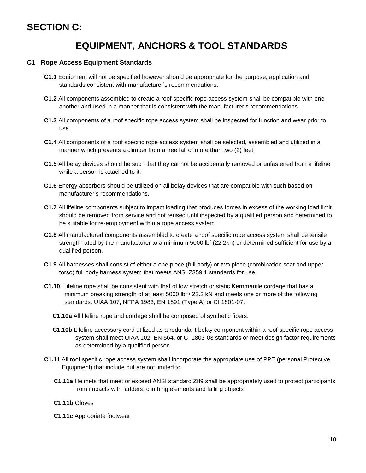### **SECTION C:**

### **EQUIPMENT, ANCHORS & TOOL STANDARDS**

#### **C1 Rope Access Equipment Standards**

- **C1.1** Equipment will not be specified however should be appropriate for the purpose, application and standards consistent with manufacturer's recommendations.
- **C1.2** All components assembled to create a roof specific rope access system shall be compatible with one another and used in a manner that is consistent with the manufacturer's recommendations.
- **C1.3** All components of a roof specific rope access system shall be inspected for function and wear prior to use.
- **C1.4** All components of a roof specific rope access system shall be selected, assembled and utilized in a manner which prevents a climber from a free fall of more than two (2) feet.
- **C1.5** All belay devices should be such that they cannot be accidentally removed or unfastened from a lifeline while a person is attached to it.
- **C1.6** Energy absorbers should be utilized on all belay devices that are compatible with such based on manufacturer's recommendations.
- **C1.7** All lifeline components subject to impact loading that produces forces in excess of the working load limit should be removed from service and not reused until inspected by a qualified person and determined to be suitable for re-employment within a rope access system.
- **C1.8** All manufactured components assembled to create a roof specific rope access system shall be tensile strength rated by the manufacturer to a minimum 5000 lbf (22.2kn) or determined sufficient for use by a qualified person.
- **C1.9** All harnesses shall consist of either a one piece (full body) or two piece (combination seat and upper torso) full body harness system that meets ANSI Z359.1 standards for use.
- **C1.10** Lifeline rope shall be consistent with that of low stretch or static Kernmantle cordage that has a minimum breaking strength of at least 5000 lbf / 22.2 kN and meets one or more of the following standards: UIAA 107, NFPA 1983, EN 1891 (Type A) or CI 1801-07.
	- **C1.10a** All lifeline rope and cordage shall be composed of synthetic fibers.
	- **C1.10b** Lifeline accessory cord utilized as a redundant belay component within a roof specific rope access system shall meet UIAA 102, EN 564, or CI 1803-03 standards or meet design factor requirements as determined by a qualified person.
- **C1.11** All roof specific rope access system shall incorporate the appropriate use of PPE (personal Protective Equipment) that include but are not limited to:
	- **C1.11a** Helmets that meet or exceed ANSI standard Z89 shall be appropriately used to protect participants from impacts with ladders, climbing elements and falling objects

#### **C1.11b** Gloves

**C1.11c** Appropriate footwear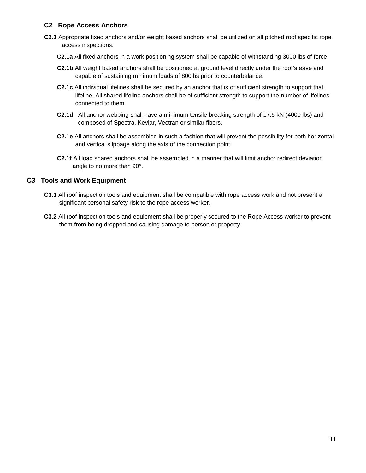#### **C2 Rope Access Anchors**

- **C2.1** Appropriate fixed anchors and/or weight based anchors shall be utilized on all pitched roof specific rope access inspections.
	- **C2.1a** All fixed anchors in a work positioning system shall be capable of withstanding 3000 lbs of force.
	- **C2.1b** All weight based anchors shall be positioned at ground level directly under the roof's eave and capable of sustaining minimum loads of 800lbs prior to counterbalance.
	- **C2.1c** All individual lifelines shall be secured by an anchor that is of sufficient strength to support that lifeline. All shared lifeline anchors shall be of sufficient strength to support the number of lifelines connected to them.
	- **C2.1d** All anchor webbing shall have a minimum tensile breaking strength of 17.5 kN (4000 lbs) and composed of Spectra, Kevlar, Vectran or similar fibers.
	- **C2.1e** All anchors shall be assembled in such a fashion that will prevent the possibility for both horizontal and vertical slippage along the axis of the connection point.
	- **C2.1f** All load shared anchors shall be assembled in a manner that will limit anchor redirect deviation angle to no more than 90°.

#### **C3 Tools and Work Equipment**

- **C3.1** All roof inspection tools and equipment shall be compatible with rope access work and not present a significant personal safety risk to the rope access worker.
- **C3.2** All roof inspection tools and equipment shall be properly secured to the Rope Access worker to prevent them from being dropped and causing damage to person or property.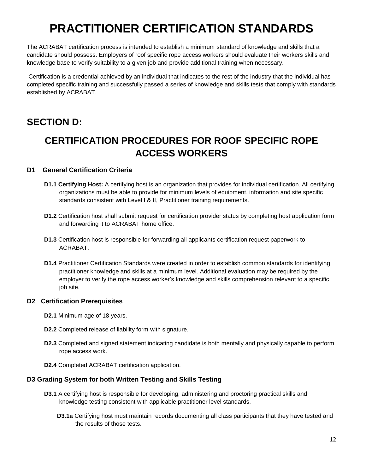# **PRACTITIONER CERTIFICATION STANDARDS**

The ACRABAT certification process is intended to establish a minimum standard of knowledge and skills that a candidate should possess. Employers of roof specific rope access workers should evaluate their workers skills and knowledge base to verify suitability to a given job and provide additional training when necessary.

Certification is a credential achieved by an individual that indicates to the rest of the industry that the individual has completed specific training and successfully passed a series of knowledge and skills tests that comply with standards established by ACRABAT.

# **SECTION D:**

# **CERTIFICATION PROCEDURES FOR ROOF SPECIFIC ROPE ACCESS WORKERS**

#### **D1 General Certification Criteria**

- **D1.1 Certifying Host:** A certifying host is an organization that provides for individual certification. All certifying organizations must be able to provide for minimum levels of equipment, information and site specific standards consistent with Level I & II, Practitioner training requirements.
- **D1.2** Certification host shall submit request for certification provider status by completing host application form and forwarding it to ACRABAT home office.
- **D1.3** Certification host is responsible for forwarding all applicants certification request paperwork to ACRABAT.
- **D1.4** Practitioner Certification Standards were created in order to establish common standards for identifying practitioner knowledge and skills at a minimum level. Additional evaluation may be required by the employer to verify the rope access worker's knowledge and skills comprehension relevant to a specific job site.

#### **D2 Certification Prerequisites**

**D2.1** Minimum age of 18 years.

- **D2.2** Completed release of liability form with signature.
- **D2.3** Completed and signed statement indicating candidate is both mentally and physically capable to perform rope access work.
- **D2.4** Completed ACRABAT certification application.

#### **D3 Grading System for both Written Testing and Skills Testing**

- **D3.1** A certifying host is responsible for developing, administering and proctoring practical skills and knowledge testing consistent with applicable practitioner level standards.
	- **D3.1a** Certifying host must maintain records documenting all class participants that they have tested and the results of those tests.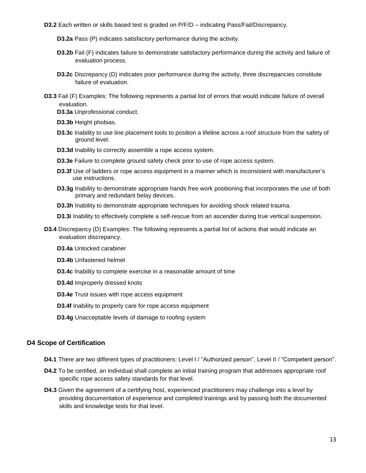**D3.2** Each written or skills based test is graded on P/F/D – indicating Pass/Fail/Discrepancy.

- **D3.2a** Pass (P) indicates satisfactory performance during the activity.
- **D3.2b** Fail (F) indicates failure to demonstrate satisfactory performance during the activity and failure of evaluation process.
- **D3.2c** Discrepancy (D) indicates poor performance during the activity, three discrepancies constitute failure of evaluation.
- **D3.3** Fail (F) Examples: The following represents a partial list of errors that would indicate failure of overall evaluation.
	- **D3.3a** Unprofessional conduct.
	- **D3.3b** Height phobias.
	- **D3.3c** Inability to use line placement tools to position a lifeline across a roof structure from the safety of ground level.
	- **D3.3d** Inability to correctly assemble a rope access system.
	- **D3.3e** Failure to complete ground safety check prior to use of rope access system.
	- **D3.3f** Use of ladders or rope access equipment in a manner which is inconsistent with manufacturer's use instructions.
	- **D3.3g** Inability to demonstrate appropriate hands free work positioning that incorporates the use of both primary and redundant belay devices.
	- **D3.3h** Inability to demonstrate appropriate techniques for avoiding shock related trauma.
	- **D3.3i** Inability to effectively complete a self-rescue from an ascender during true vertical suspension.
- **D3.4** Discrepancy (D) Examples: The following represents a partial list of actions that would indicate an evaluation discrepancy.
	- **D3.4a** Unlocked carabiner
	- **D3.4b** Unfastened helmet
	- **D3.4c** Inability to complete exercise in a reasonable amount of time
	- **D3.4d** Improperly dressed knots
	- **D3.4e** Trust issues with rope access equipment
	- **D3.4f** Inability to properly care for rope access equipment
	- **D3.4g** Unacceptable levels of damage to roofing system

#### **D4 Scope of Certification**

- **D4.1** There are two different types of practitioners: Level I / "Authorized person", Level II / "Competent person".
- **D4.2** To be certified, an individual shall complete an initial training program that addresses appropriate roof specific rope access safety standards for that level.
- **D4.3** Given the agreement of a certifying host, experienced practitioners may challenge into a level by providing documentation of experience and completed trainings and by passing both the documented skills and knowledge tests for that level.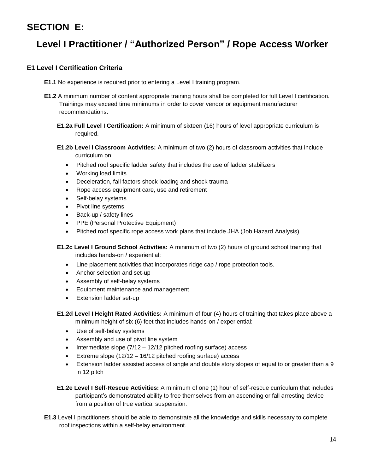## **SECTION E:**

# **Level I Practitioner / "Authorized Person" / Rope Access Worker**

#### **E1 Level I Certification Criteria**

- **E1.1** No experience is required prior to entering a Level I training program.
- **E1.2** A minimum number of content appropriate training hours shall be completed for full Level I certification. Trainings may exceed time minimums in order to cover vendor or equipment manufacturer recommendations.
	- **E1.2a Full Level I Certification:** A minimum of sixteen (16) hours of level appropriate curriculum is required.
	- **E1.2b Level I Classroom Activities:** A minimum of two (2) hours of classroom activities that include curriculum on:
		- Pitched roof specific ladder safety that includes the use of ladder stabilizers
		- Working load limits
		- Deceleration, fall factors shock loading and shock trauma
		- Rope access equipment care, use and retirement
		- Self-belay systems
		- Pivot line systems
		- Back-up / safety lines
		- PPE (Personal Protective Equipment)
		- Pitched roof specific rope access work plans that include JHA (Job Hazard Analysis)

**E1.2c Level I Ground School Activities:** A minimum of two (2) hours of ground school training that includes hands-on / experiential:

- Line placement activities that incorporates ridge cap / rope protection tools.
- Anchor selection and set-up
- Assembly of self-belay systems
- **Equipment maintenance and management**
- Extension ladder set-up
- **E1.2d Level I Height Rated Activities:** A minimum of four (4) hours of training that takes place above a minimum height of six (6) feet that includes hands-on / experiential:
	- Use of self-belay systems
	- Assembly and use of pivot line system
	- $\bullet$  Intermediate slope (7/12 12/12 pitched roofing surface) access
	- Extreme slope  $(12/12 16/12)$  pitched roofing surface) access
	- Extension ladder assisted access of single and double story slopes of equal to or greater than a 9 in 12 pitch
- **E1.2e Level I Self-Rescue Activities:** A minimum of one (1) hour of self-rescue curriculum that includes participant's demonstrated ability to free themselves from an ascending or fall arresting device from a position of true vertical suspension.
- **E1.3** Level I practitioners should be able to demonstrate all the knowledge and skills necessary to complete roof inspections within a self-belay environment.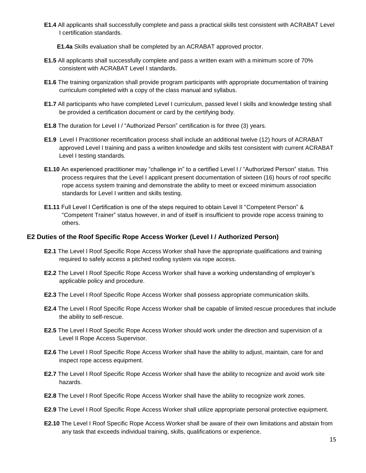- **E1.4** All applicants shall successfully complete and pass a practical skills test consistent with ACRABAT Level I certification standards.
	- **E1.4a** Skills evaluation shall be completed by an ACRABAT approved proctor.
- **E1.5** All applicants shall successfully complete and pass a written exam with a minimum score of 70% consistent with ACRABAT Level I standards.
- **E1.6** The training organization shall provide program participants with appropriate documentation of training curriculum completed with a copy of the class manual and syllabus.
- **E1.7** All participants who have completed Level I curriculum, passed level I skills and knowledge testing shall be provided a certification document or card by the certifying body.
- **E1.8** The duration for Level I / "Authorized Person" certification is for three (3) years.
- **E1.9** Level I Practitioner recertification process shall include an additional twelve (12) hours of ACRABAT approved Level I training and pass a written knowledge and skills test consistent with current ACRABAT Level I testing standards.
- **E1.10** An experienced practitioner may "challenge in" to a certified Level I / "Authorized Person" status. This process requires that the Level I applicant present documentation of sixteen (16) hours of roof specific rope access system training and demonstrate the ability to meet or exceed minimum association standards for Level I written and skills testing.
- **E1.11** Full Level I Certification is one of the steps required to obtain Level II "Competent Person" & "Competent Trainer" status however, in and of itself is insufficient to provide rope access training to others.

#### **E2 Duties of the Roof Specific Rope Access Worker (Level I / Authorized Person)**

- **E2.1** The Level I Roof Specific Rope Access Worker shall have the appropriate qualifications and training required to safely access a pitched roofing system via rope access.
- **E2.2** The Level I Roof Specific Rope Access Worker shall have a working understanding of employer's applicable policy and procedure.
- **E2.3** The Level I Roof Specific Rope Access Worker shall possess appropriate communication skills.
- **E2.4** The Level I Roof Specific Rope Access Worker shall be capable of limited rescue procedures that include the ability to self-rescue.
- **E2.5** The Level I Roof Specific Rope Access Worker should work under the direction and supervision of a Level II Rope Access Supervisor.
- **E2.6** The Level I Roof Specific Rope Access Worker shall have the ability to adjust, maintain, care for and inspect rope access equipment.
- **E2.7** The Level I Roof Specific Rope Access Worker shall have the ability to recognize and avoid work site hazards.
- **E2.8** The Level I Roof Specific Rope Access Worker shall have the ability to recognize work zones.
- **E2.9** The Level I Roof Specific Rope Access Worker shall utilize appropriate personal protective equipment.
- **E2.10** The Level I Roof Specific Rope Access Worker shall be aware of their own limitations and abstain from any task that exceeds individual training, skills, qualifications or experience.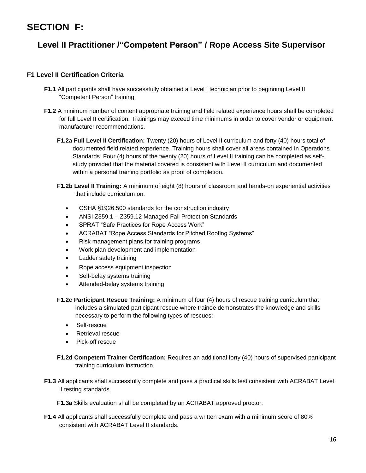## **SECTION F:**

### **Level II Practitioner /"Competent Person" / Rope Access Site Supervisor**

#### **F1 Level II Certification Criteria**

- **F1.1** All participants shall have successfully obtained a Level I technician prior to beginning Level II "Competent Person" training.
- **F1.2** A minimum number of content appropriate training and field related experience hours shall be completed for full Level II certification. Trainings may exceed time minimums in order to cover vendor or equipment manufacturer recommendations.
	- **F1.2a Full Level II Certification:** Twenty (20) hours of Level II curriculum and forty (40) hours total of documented field related experience. Training hours shall cover all areas contained in Operations Standards. Four (4) hours of the twenty (20) hours of Level II training can be completed as selfstudy provided that the material covered is consistent with Level II curriculum and documented within a personal training portfolio as proof of completion.
	- **F1.2b Level II Training:** A minimum of eight (8) hours of classroom and hands-on experiential activities that include curriculum on:
		- OSHA §1926.500 standards for the construction industry
		- ANSI Z359.1 Z359.12 Managed Fall Protection Standards
		- SPRAT "Safe Practices for Rope Access Work"
		- ACRABAT "Rope Access Standards for Pitched Roofing Systems"
		- Risk management plans for training programs
		- Work plan development and implementation
		- Ladder safety training
		- Rope access equipment inspection
		- Self-belay systems training
		- Attended-belay systems training
	- **F1.2c Participant Rescue Training:** A minimum of four (4) hours of rescue training curriculum that includes a simulated participant rescue where trainee demonstrates the knowledge and skills necessary to perform the following types of rescues:
		- Self-rescue
		- Retrieval rescue
		- Pick-off rescue
	- **F1.2d Competent Trainer Certification:** Requires an additional forty (40) hours of supervised participant training curriculum instruction.
- **F1.3** All applicants shall successfully complete and pass a practical skills test consistent with ACRABAT Level II testing standards.

**F1.3a** Skills evaluation shall be completed by an ACRABAT approved proctor.

**F1.4** All applicants shall successfully complete and pass a written exam with a minimum score of 80% consistent with ACRABAT Level II standards.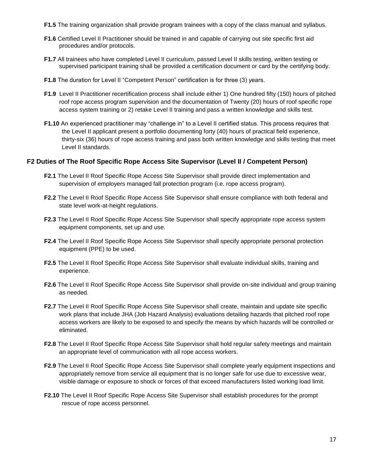- **F1.5** The training organization shall provide program trainees with a copy of the class manual and syllabus.
- **F1.6** Certified Level II Practitioner should be trained in and capable of carrying out site specific first aid procedures and/or protocols.
- **F1.7** All trainees who have completed Level II curriculum, passed Level II skills testing, written testing or supervised participant training shall be provided a certification document or card by the certifying body.
- **F1.8** The duration for Level II "Competent Person" certification is for three (3) years.
- **F1.9** Level II Practitioner recertification process shall include either 1) One hundred fifty (150) hours of pitched roof rope access program supervision and the documentation of Twenty (20) hours of roof specific rope access system training or 2) retake Level II training and pass a written knowledge and skills test.
- **F1.10** An experienced practitioner may "challenge in" to a Level II certified status. This process requires that the Level II applicant present a portfolio documenting forty (40) hours of practical field experience, thirty-six (36) hours of rope access training and pass both written knowledge and skills testing that meet Level II standards.

#### **F2 Duties of The Roof Specific Rope Access Site Supervisor (Level II / Competent Person)**

- **F2.1** The Level II Roof Specific Rope Access Site Supervisor shall provide direct implementation and supervision of employers managed fall protection program (i.e. rope access program).
- **F2.2** The Level II Roof Specific Rope Access Site Supervisor shall ensure compliance with both federal and state level work-at-height regulations.
- **F2.3** The Level II Roof Specific Rope Access Site Supervisor shall specify appropriate rope access system equipment components, set up and use.
- **F2.4** The Level II Roof Specific Rope Access Site Supervisor shall specify appropriate personal protection equipment (PPE) to be used.
- **F2.5** The Level II Roof Specific Rope Access Site Supervisor shall evaluate individual skills, training and experience.
- **F2.6** The Level II Roof Specific Rope Access Site Supervisor shall provide on-site individual and group training as needed.
- **F2.7** The Level II Roof Specific Rope Access Site Supervisor shall create, maintain and update site specific work plans that include JHA (Job Hazard Analysis) evaluations detailing hazards that pitched roof rope access workers are likely to be exposed to and specify the means by which hazards will be controlled or eliminated.
- **F2.8** The Level II Roof Specific Rope Access Site Supervisor shall hold regular safety meetings and maintain an appropriate level of communication with all rope access workers.
- **F2.9** The Level II Roof Specific Rope Access Site Supervisor shall complete yearly equipment inspections and appropriately remove from service all equipment that is no longer safe for use due to excessive wear, visible damage or exposure to shock or forces of that exceed manufacturers listed working load limit.
- **F2.10** The Level II Roof Specific Rope Access Site Supervisor shall establish procedures for the prompt rescue of rope access personnel.